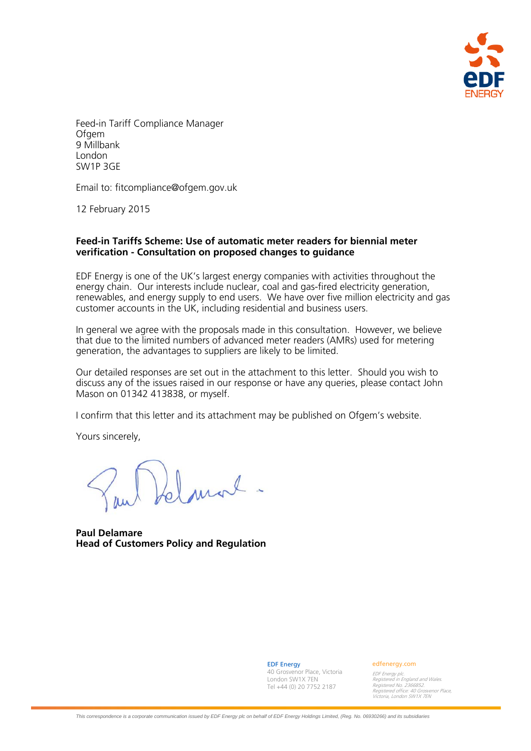

Feed-in Tariff Compliance Manager Ofgem 9 Millbank London SW1P 3GE

Email to: fitcompliance@ofgem.gov.uk

12 February 2015

#### **Feed-in Tariffs Scheme: Use of automatic meter readers for biennial meter verification - Consultation on proposed changes to guidance**

EDF Energy is one of the UK's largest energy companies with activities throughout the energy chain. Our interests include nuclear, coal and gas-fired electricity generation, renewables, and energy supply to end users. We have over five million electricity and gas customer accounts in the UK, including residential and business users.

In general we agree with the proposals made in this consultation. However, we believe that due to the limited numbers of advanced meter readers (AMRs) used for metering generation, the advantages to suppliers are likely to be limited.

Our detailed responses are set out in the attachment to this letter. Should you wish to discuss any of the issues raised in our response or have any queries, please contact John Mason on 01342 413838, or myself.

I confirm that this letter and its attachment may be published on Ofgem's website.

Yours sincerely,

Idanal.

**Paul Delamare Head of Customers Policy and Regulation** 

EDF Energy 40 Grosvenor Place, Victoria London SW1X 7EN Tel +44 (0) 20 7752 2187

edfenergy.com

EDF Energy plc. Registered in England and Wales. Registered No. 2366852. Registered office: 40 Grosvenor Place, Victoria, London SW1X 7EN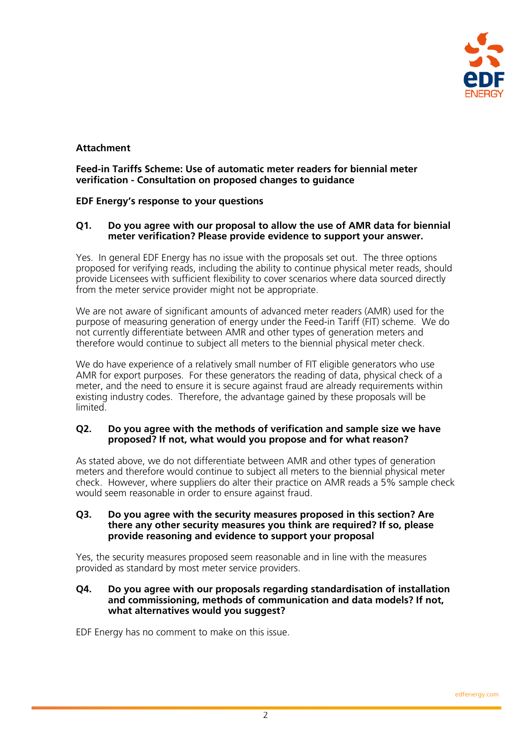

# **Attachment**

**Feed-in Tariffs Scheme: Use of automatic meter readers for biennial meter verification - Consultation on proposed changes to guidance** 

## **EDF Energy's response to your questions**

### **Q1. Do you agree with our proposal to allow the use of AMR data for biennial meter verification? Please provide evidence to support your answer.**

Yes. In general EDF Energy has no issue with the proposals set out. The three options proposed for verifying reads, including the ability to continue physical meter reads, should provide Licensees with sufficient flexibility to cover scenarios where data sourced directly from the meter service provider might not be appropriate.

We are not aware of significant amounts of advanced meter readers (AMR) used for the purpose of measuring generation of energy under the Feed-in Tariff (FIT) scheme. We do not currently differentiate between AMR and other types of generation meters and therefore would continue to subject all meters to the biennial physical meter check.

We do have experience of a relatively small number of FIT eligible generators who use AMR for export purposes. For these generators the reading of data, physical check of a meter, and the need to ensure it is secure against fraud are already requirements within existing industry codes. Therefore, the advantage gained by these proposals will be limited.

#### **Q2. Do you agree with the methods of verification and sample size we have proposed? If not, what would you propose and for what reason?**

As stated above, we do not differentiate between AMR and other types of generation meters and therefore would continue to subject all meters to the biennial physical meter check. However, where suppliers do alter their practice on AMR reads a 5% sample check would seem reasonable in order to ensure against fraud.

#### **Q3. Do you agree with the security measures proposed in this section? Are there any other security measures you think are required? If so, please provide reasoning and evidence to support your proposal**

Yes, the security measures proposed seem reasonable and in line with the measures provided as standard by most meter service providers.

#### **Q4. Do you agree with our proposals regarding standardisation of installation and commissioning, methods of communication and data models? If not, what alternatives would you suggest?**

EDF Energy has no comment to make on this issue.